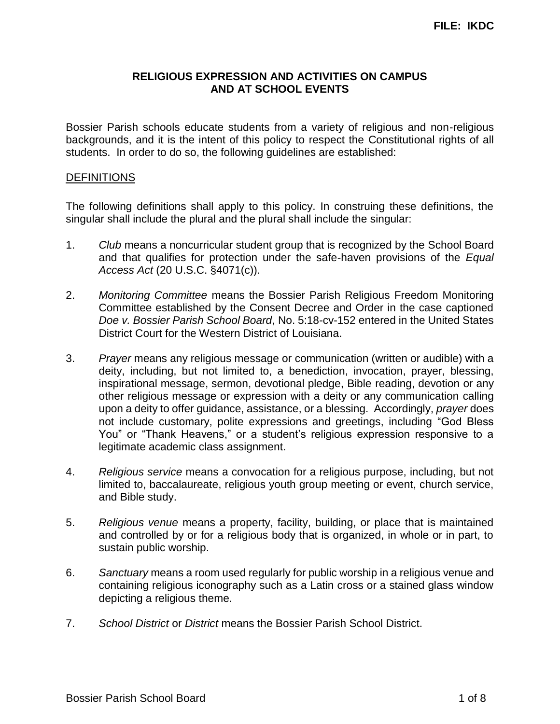## **RELIGIOUS EXPRESSION AND ACTIVITIES ON CAMPUS AND AT SCHOOL EVENTS**

Bossier Parish schools educate students from a variety of religious and non-religious backgrounds, and it is the intent of this policy to respect the Constitutional rights of all students. In order to do so, the following guidelines are established:

#### **DEFINITIONS**

The following definitions shall apply to this policy. In construing these definitions, the singular shall include the plural and the plural shall include the singular:

- 1. *Club* means a noncurricular student group that is recognized by the School Board and that qualifies for protection under the safe-haven provisions of the *Equal Access Act* (20 U.S.C. §4071(c)).
- 2. *Monitoring Committee* means the Bossier Parish Religious Freedom Monitoring Committee established by the Consent Decree and Order in the case captioned *Doe v. Bossier Parish School Board*, No. 5:18-cv-152 entered in the United States District Court for the Western District of Louisiana.
- 3. *Prayer* means any religious message or communication (written or audible) with a deity, including, but not limited to, a benediction, invocation, prayer, blessing, inspirational message, sermon, devotional pledge, Bible reading, devotion or any other religious message or expression with a deity or any communication calling upon a deity to offer guidance, assistance, or a blessing. Accordingly, *prayer* does not include customary, polite expressions and greetings, including "God Bless You" or "Thank Heavens," or a student's religious expression responsive to a legitimate academic class assignment.
- 4. *Religious service* means a convocation for a religious purpose, including, but not limited to, baccalaureate, religious youth group meeting or event, church service, and Bible study.
- 5. *Religious venue* means a property, facility, building, or place that is maintained and controlled by or for a religious body that is organized, in whole or in part, to sustain public worship.
- 6. *Sanctuary* means a room used regularly for public worship in a religious venue and containing religious iconography such as a Latin cross or a stained glass window depicting a religious theme.
- 7. *School District* or *District* means the Bossier Parish School District.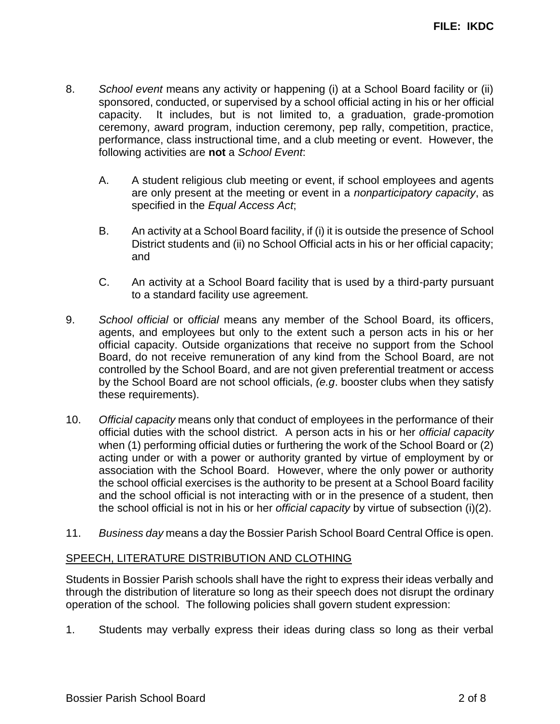- 8. *School event* means any activity or happening (i) at a School Board facility or (ii) sponsored, conducted, or supervised by a school official acting in his or her official capacity. It includes, but is not limited to, a graduation, grade-promotion ceremony, award program, induction ceremony, pep rally, competition, practice, performance, class instructional time, and a club meeting or event. However, the following activities are **not** a *School Event*:
	- A. A student religious club meeting or event, if school employees and agents are only present at the meeting or event in a *nonparticipatory capacity*, as specified in the *Equal Access Act*;
	- B. An activity at a School Board facility, if (i) it is outside the presence of School District students and (ii) no School Official acts in his or her official capacity; and
	- C. An activity at a School Board facility that is used by a third-party pursuant to a standard facility use agreement.
- 9. *School official* or o*fficial* means any member of the School Board, its officers, agents, and employees but only to the extent such a person acts in his or her official capacity. Outside organizations that receive no support from the School Board, do not receive remuneration of any kind from the School Board, are not controlled by the School Board, and are not given preferential treatment or access by the School Board are not school officials, *(e.g*. booster clubs when they satisfy these requirements).
- 10. *Official capacity* means only that conduct of employees in the performance of their official duties with the school district. A person acts in his or her *official capacity* when (1) performing official duties or furthering the work of the School Board or (2) acting under or with a power or authority granted by virtue of employment by or association with the School Board. However, where the only power or authority the school official exercises is the authority to be present at a School Board facility and the school official is not interacting with or in the presence of a student, then the school official is not in his or her *official capacity* by virtue of subsection (i)(2).
- 11. *Business day* means a day the Bossier Parish School Board Central Office is open.

#### SPEECH, LITERATURE DISTRIBUTION AND CLOTHING

Students in Bossier Parish schools shall have the right to express their ideas verbally and through the distribution of literature so long as their speech does not disrupt the ordinary operation of the school. The following policies shall govern student expression:

1. Students may verbally express their ideas during class so long as their verbal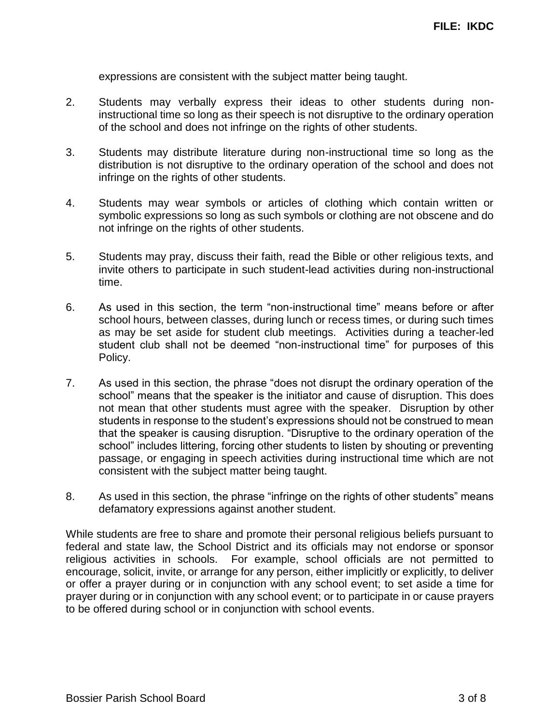expressions are consistent with the subject matter being taught.

- 2. Students may verbally express their ideas to other students during noninstructional time so long as their speech is not disruptive to the ordinary operation of the school and does not infringe on the rights of other students.
- 3. Students may distribute literature during non-instructional time so long as the distribution is not disruptive to the ordinary operation of the school and does not infringe on the rights of other students.
- 4. Students may wear symbols or articles of clothing which contain written or symbolic expressions so long as such symbols or clothing are not obscene and do not infringe on the rights of other students.
- 5. Students may pray, discuss their faith, read the Bible or other religious texts, and invite others to participate in such student-lead activities during non-instructional time.
- 6. As used in this section, the term "non-instructional time" means before or after school hours, between classes, during lunch or recess times, or during such times as may be set aside for student club meetings. Activities during a teacher-led student club shall not be deemed "non-instructional time" for purposes of this Policy.
- 7. As used in this section, the phrase "does not disrupt the ordinary operation of the school" means that the speaker is the initiator and cause of disruption. This does not mean that other students must agree with the speaker. Disruption by other students in response to the student's expressions should not be construed to mean that the speaker is causing disruption. "Disruptive to the ordinary operation of the school" includes littering, forcing other students to listen by shouting or preventing passage, or engaging in speech activities during instructional time which are not consistent with the subject matter being taught.
- 8. As used in this section, the phrase "infringe on the rights of other students" means defamatory expressions against another student.

While students are free to share and promote their personal religious beliefs pursuant to federal and state law, the School District and its officials may not endorse or sponsor religious activities in schools. For example, school officials are not permitted to encourage, solicit, invite, or arrange for any person, either implicitly or explicitly, to deliver or offer a prayer during or in conjunction with any school event; to set aside a time for prayer during or in conjunction with any school event; or to participate in or cause prayers to be offered during school or in conjunction with school events.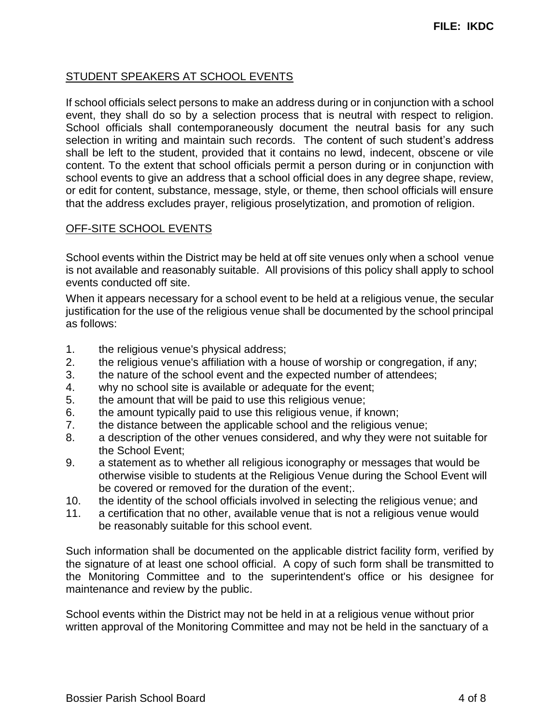# STUDENT SPEAKERS AT SCHOOL EVENTS

If school officials select persons to make an address during or in conjunction with a school event, they shall do so by a selection process that is neutral with respect to religion. School officials shall contemporaneously document the neutral basis for any such selection in writing and maintain such records. The content of such student's address shall be left to the student, provided that it contains no lewd, indecent, obscene or vile content. To the extent that school officials permit a person during or in conjunction with school events to give an address that a school official does in any degree shape, review, or edit for content, substance, message, style, or theme, then school officials will ensure that the address excludes prayer, religious proselytization, and promotion of religion.

#### OFF-SITE SCHOOL EVENTS

School events within the District may be held at off site venues only when a school venue is not available and reasonably suitable. All provisions of this policy shall apply to school events conducted off site.

When it appears necessary for a school event to be held at a religious venue, the secular justification for the use of the religious venue shall be documented by the school principal as follows:

- 1. the religious venue's physical address;
- 2. the religious venue's affiliation with a house of worship or congregation, if any;
- 3. the nature of the school event and the expected number of attendees;
- 4. why no school site is available or adequate for the event;
- 5. the amount that will be paid to use this religious venue;
- 6. the amount typically paid to use this religious venue, if known;
- 7. the distance between the applicable school and the religious venue;
- 8. a description of the other venues considered, and why they were not suitable for the School Event;
- 9. a statement as to whether all religious iconography or messages that would be otherwise visible to students at the Religious Venue during the School Event will be covered or removed for the duration of the event;.
- 10. the identity of the school officials involved in selecting the religious venue; and
- 11. a certification that no other, available venue that is not a religious venue would be reasonably suitable for this school event.

Such information shall be documented on the applicable district facility form, verified by the signature of at least one school official. A copy of such form shall be transmitted to the Monitoring Committee and to the superintendent's office or his designee for maintenance and review by the public.

School events within the District may not be held in at a religious venue without prior written approval of the Monitoring Committee and may not be held in the sanctuary of a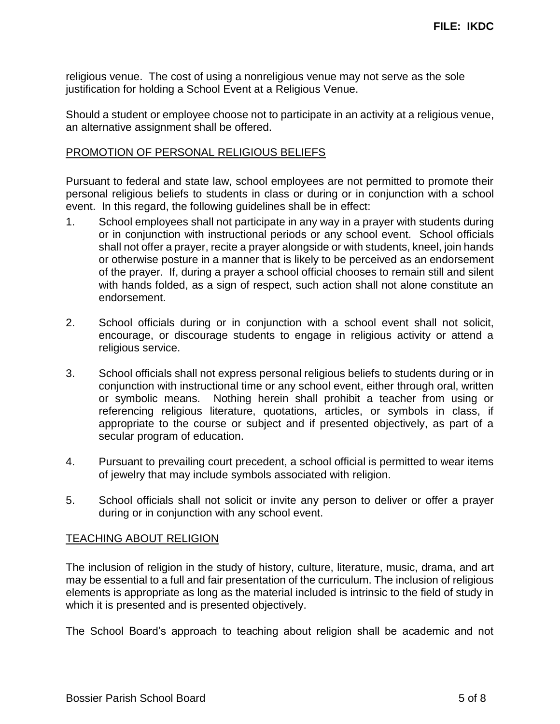religious venue. The cost of using a nonreligious venue may not serve as the sole justification for holding a School Event at a Religious Venue.

Should a student or employee choose not to participate in an activity at a religious venue, an alternative assignment shall be offered.

### PROMOTION OF PERSONAL RELIGIOUS BELIEFS

Pursuant to federal and state law, school employees are not permitted to promote their personal religious beliefs to students in class or during or in conjunction with a school event. In this regard, the following guidelines shall be in effect:

- 1. School employees shall not participate in any way in a prayer with students during or in conjunction with instructional periods or any school event. School officials shall not offer a prayer, recite a prayer alongside or with students, kneel, join hands or otherwise posture in a manner that is likely to be perceived as an endorsement of the prayer. If, during a prayer a school official chooses to remain still and silent with hands folded, as a sign of respect, such action shall not alone constitute an endorsement.
- 2. School officials during or in conjunction with a school event shall not solicit, encourage, or discourage students to engage in religious activity or attend a religious service.
- 3. School officials shall not express personal religious beliefs to students during or in conjunction with instructional time or any school event, either through oral, written or symbolic means. Nothing herein shall prohibit a teacher from using or referencing religious literature, quotations, articles, or symbols in class, if appropriate to the course or subject and if presented objectively, as part of a secular program of education.
- 4. Pursuant to prevailing court precedent, a school official is permitted to wear items of jewelry that may include symbols associated with religion.
- 5. School officials shall not solicit or invite any person to deliver or offer a prayer during or in conjunction with any school event.

#### TEACHING ABOUT RELIGION

The inclusion of religion in the study of history, culture, literature, music, drama, and art may be essential to a full and fair presentation of the curriculum. The inclusion of religious elements is appropriate as long as the material included is intrinsic to the field of study in which it is presented and is presented objectively.

The School Board's approach to teaching about religion shall be academic and not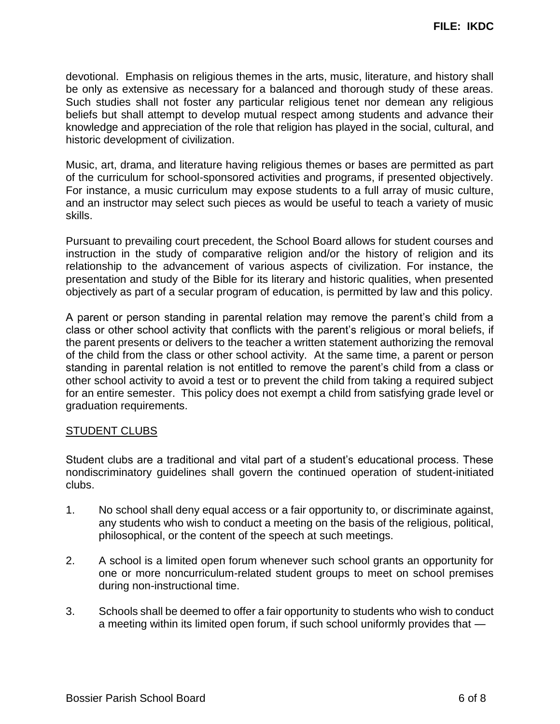devotional. Emphasis on religious themes in the arts, music, literature, and history shall be only as extensive as necessary for a balanced and thorough study of these areas. Such studies shall not foster any particular religious tenet nor demean any religious beliefs but shall attempt to develop mutual respect among students and advance their knowledge and appreciation of the role that religion has played in the social, cultural, and historic development of civilization.

Music, art, drama, and literature having religious themes or bases are permitted as part of the curriculum for school-sponsored activities and programs, if presented objectively. For instance, a music curriculum may expose students to a full array of music culture, and an instructor may select such pieces as would be useful to teach a variety of music skills.

Pursuant to prevailing court precedent, the School Board allows for student courses and instruction in the study of comparative religion and/or the history of religion and its relationship to the advancement of various aspects of civilization. For instance, the presentation and study of the Bible for its literary and historic qualities, when presented objectively as part of a secular program of education, is permitted by law and this policy.

A parent or person standing in parental relation may remove the parent's child from a class or other school activity that conflicts with the parent's religious or moral beliefs, if the parent presents or delivers to the teacher a written statement authorizing the removal of the child from the class or other school activity. At the same time, a parent or person standing in parental relation is not entitled to remove the parent's child from a class or other school activity to avoid a test or to prevent the child from taking a required subject for an entire semester. This policy does not exempt a child from satisfying grade level or graduation requirements.

#### STUDENT CLUBS

Student clubs are a traditional and vital part of a student's educational process. These nondiscriminatory guidelines shall govern the continued operation of student-initiated clubs.

- 1. No school shall deny equal access or a fair opportunity to, or discriminate against, any students who wish to conduct a meeting on the basis of the religious, political, philosophical, or the content of the speech at such meetings.
- 2. A school is a limited open forum whenever such school grants an opportunity for one or more noncurriculum-related student groups to meet on school premises during non-instructional time.
- 3. Schools shall be deemed to offer a fair opportunity to students who wish to conduct a meeting within its limited open forum, if such school uniformly provides that —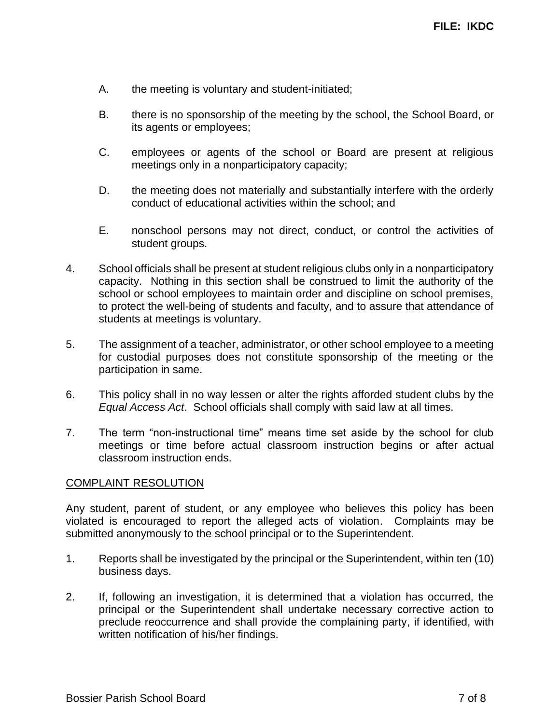- A. the meeting is voluntary and student-initiated;
- B. there is no sponsorship of the meeting by the school, the School Board, or its agents or employees;
- C. employees or agents of the school or Board are present at religious meetings only in a nonparticipatory capacity;
- D. the meeting does not materially and substantially interfere with the orderly conduct of educational activities within the school; and
- E. nonschool persons may not direct, conduct, or control the activities of student groups.
- 4. School officials shall be present at student religious clubs only in a nonparticipatory capacity. Nothing in this section shall be construed to limit the authority of the school or school employees to maintain order and discipline on school premises, to protect the well-being of students and faculty, and to assure that attendance of students at meetings is voluntary.
- 5. The assignment of a teacher, administrator, or other school employee to a meeting for custodial purposes does not constitute sponsorship of the meeting or the participation in same.
- 6. This policy shall in no way lessen or alter the rights afforded student clubs by the *Equal Access Act*. School officials shall comply with said law at all times.
- 7. The term "non-instructional time" means time set aside by the school for club meetings or time before actual classroom instruction begins or after actual classroom instruction ends.

#### COMPLAINT RESOLUTION

Any student, parent of student, or any employee who believes this policy has been violated is encouraged to report the alleged acts of violation. Complaints may be submitted anonymously to the school principal or to the Superintendent.

- 1. Reports shall be investigated by the principal or the Superintendent, within ten (10) business days.
- 2. If, following an investigation, it is determined that a violation has occurred, the principal or the Superintendent shall undertake necessary corrective action to preclude reoccurrence and shall provide the complaining party, if identified, with written notification of his/her findings.